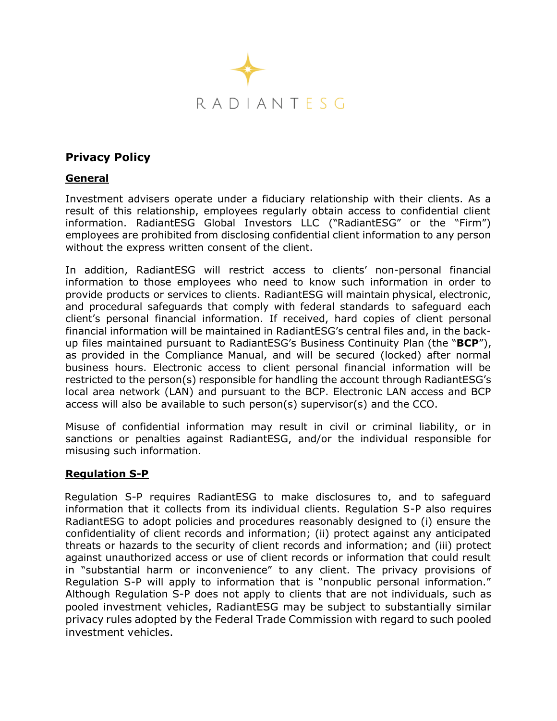

# **Privacy Policy**

## **General**

Investment advisers operate under a fiduciary relationship with their clients. As a result of this relationship, employees regularly obtain access to confidential client information. RadiantESG Global Investors LLC ("RadiantESG" or the "Firm") employees are prohibited from disclosing confidential client information to any person without the express written consent of the client.

In addition, RadiantESG will restrict access to clients' non-personal financial information to those employees who need to know such information in order to provide products or services to clients. RadiantESG will maintain physical, electronic, and procedural safeguards that comply with federal standards to safeguard each client's personal financial information. If received, hard copies of client personal financial information will be maintained in RadiantESG's central files and, in the backup files maintained pursuant to RadiantESG's Business Continuity Plan (the "**BCP**"), as provided in the Compliance Manual, and will be secured (locked) after normal business hours. Electronic access to client personal financial information will be restricted to the person(s) responsible for handling the account through RadiantESG's local area network (LAN) and pursuant to the BCP. Electronic LAN access and BCP access will also be available to such person(s) supervisor(s) and the CCO.

Misuse of confidential information may result in civil or criminal liability, or in sanctions or penalties against RadiantESG, and/or the individual responsible for misusing such information.

#### **Regulation S-P**

Regulation S-P requires RadiantESG to make disclosures to, and to safeguard information that it collects from its individual clients. Regulation S-P also requires RadiantESG to adopt policies and procedures reasonably designed to (i) ensure the confidentiality of client records and information; (ii) protect against any anticipated threats or hazards to the security of client records and information; and (iii) protect against unauthorized access or use of client records or information that could result in "substantial harm or inconvenience" to any client. The privacy provisions of Regulation S-P will apply to information that is "nonpublic personal information." Although Regulation S-P does not apply to clients that are not individuals, such as pooled investment vehicles, RadiantESG may be subject to substantially similar privacy rules adopted by the Federal Trade Commission with regard to such pooled investment vehicles.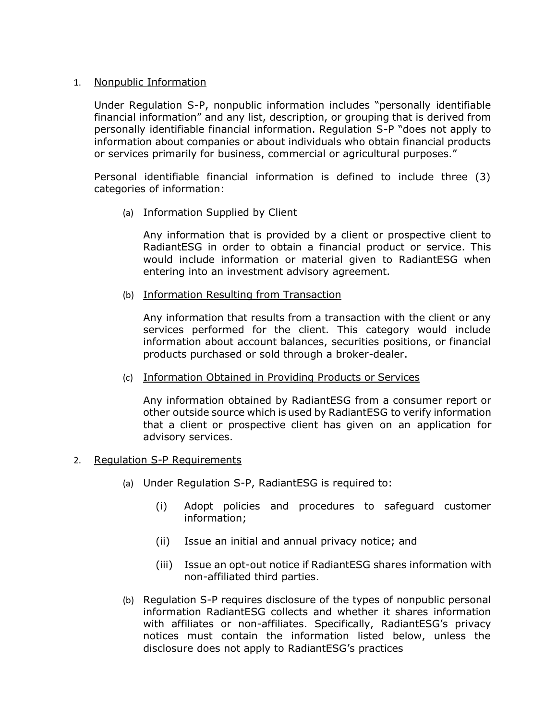#### 1. Nonpublic Information

Under Regulation S-P, nonpublic information includes "personally identifiable financial information" and any list, description, or grouping that is derived from personally identifiable financial information. Regulation S-P "does not apply to information about companies or about individuals who obtain financial products or services primarily for business, commercial or agricultural purposes."

Personal identifiable financial information is defined to include three (3) categories of information:

(a) Information Supplied by Client

Any information that is provided by a client or prospective client to RadiantESG in order to obtain a financial product or service. This would include information or material given to RadiantESG when entering into an investment advisory agreement.

(b) Information Resulting from Transaction

Any information that results from a transaction with the client or any services performed for the client. This category would include information about account balances, securities positions, or financial products purchased or sold through a broker-dealer.

(c) Information Obtained in Providing Products or Services

Any information obtained by RadiantESG from a consumer report or other outside source which is used by RadiantESG to verify information that a client or prospective client has given on an application for advisory services.

- 2. Regulation S-P Requirements
	- (a) Under Regulation S-P, RadiantESG is required to:
		- (i) Adopt policies and procedures to safeguard customer information;
		- (ii) Issue an initial and annual privacy notice; and
		- (iii) Issue an opt-out notice if RadiantESG shares information with non-affiliated third parties.
	- (b) Regulation S-P requires disclosure of the types of nonpublic personal information RadiantESG collects and whether it shares information with affiliates or non-affiliates. Specifically, RadiantESG's privacy notices must contain the information listed below, unless the disclosure does not apply to RadiantESG's practices